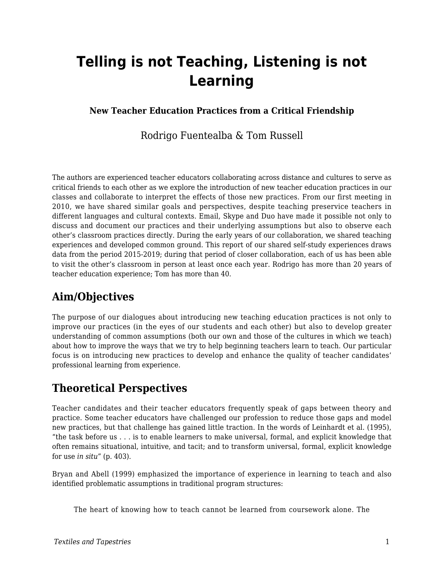# **Telling is not Teaching, Listening is not Learning**

### **New Teacher Education Practices from a Critical Friendship**

### Rodrigo Fuentealba & Tom Russell

The authors are experienced teacher educators collaborating across distance and cultures to serve as critical friends to each other as we explore the introduction of new teacher education practices in our classes and collaborate to interpret the effects of those new practices. From our first meeting in 2010, we have shared similar goals and perspectives, despite teaching preservice teachers in different languages and cultural contexts. Email, Skype and Duo have made it possible not only to discuss and document our practices and their underlying assumptions but also to observe each other's classroom practices directly. During the early years of our collaboration, we shared teaching experiences and developed common ground. This report of our shared self-study experiences draws data from the period 2015-2019; during that period of closer collaboration, each of us has been able to visit the other's classroom in person at least once each year. Rodrigo has more than 20 years of teacher education experience; Tom has more than 40.

# **Aim/Objectives**

The purpose of our dialogues about introducing new teaching education practices is not only to improve our practices (in the eyes of our students and each other) but also to develop greater understanding of common assumptions (both our own and those of the cultures in which we teach) about how to improve the ways that we try to help beginning teachers learn to teach. Our particular focus is on introducing new practices to develop and enhance the quality of teacher candidates' professional learning from experience.

### **Theoretical Perspectives**

Teacher candidates and their teacher educators frequently speak of gaps between theory and practice. Some teacher educators have challenged our profession to reduce those gaps and model new practices, but that challenge has gained little traction. In the words of Leinhardt et al. (1995), "the task before us . . . is to enable learners to make universal, formal, and explicit knowledge that often remains situational, intuitive, and tacit; and to transform universal, formal, explicit knowledge for use *in situ*" (p. 403).

Bryan and Abell (1999) emphasized the importance of experience in learning to teach and also identified problematic assumptions in traditional program structures:

The heart of knowing how to teach cannot be learned from coursework alone. The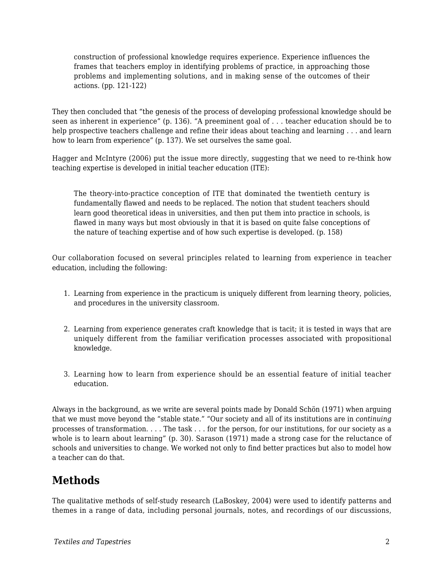construction of professional knowledge requires experience. Experience influences the frames that teachers employ in identifying problems of practice, in approaching those problems and implementing solutions, and in making sense of the outcomes of their actions. (pp. 121-122)

They then concluded that "the genesis of the process of developing professional knowledge should be seen as inherent in experience" (p. 136). "A preeminent goal of . . . teacher education should be to help prospective teachers challenge and refine their ideas about teaching and learning . . . and learn how to learn from experience" (p. 137). We set ourselves the same goal.

Hagger and McIntyre (2006) put the issue more directly, suggesting that we need to re-think how teaching expertise is developed in initial teacher education (ITE):

The theory-into-practice conception of ITE that dominated the twentieth century is fundamentally flawed and needs to be replaced. The notion that student teachers should learn good theoretical ideas in universities, and then put them into practice in schools, is flawed in many ways but most obviously in that it is based on quite false conceptions of the nature of teaching expertise and of how such expertise is developed. (p. 158)

Our collaboration focused on several principles related to learning from experience in teacher education, including the following:

- 1. Learning from experience in the practicum is uniquely different from learning theory, policies, and procedures in the university classroom.
- 2. Learning from experience generates craft knowledge that is tacit; it is tested in ways that are uniquely different from the familiar verification processes associated with propositional knowledge.
- 3. Learning how to learn from experience should be an essential feature of initial teacher education.

Always in the background, as we write are several points made by Donald Schön (1971) when arguing that we must move beyond the "stable state." "Our society and all of its institutions are in *continuing* processes of transformation. . . . The task . . . for the person, for our institutions, for our society as a whole is to learn about learning" (p. 30). Sarason (1971) made a strong case for the reluctance of schools and universities to change. We worked not only to find better practices but also to model how a teacher can do that.

### **Methods**

The qualitative methods of self-study research (LaBoskey, 2004) were used to identify patterns and themes in a range of data, including personal journals, notes, and recordings of our discussions,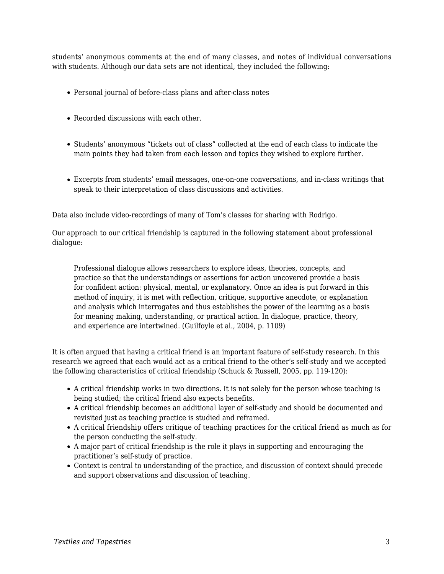students' anonymous comments at the end of many classes, and notes of individual conversations with students. Although our data sets are not identical, they included the following:

- Personal journal of before-class plans and after-class notes
- Recorded discussions with each other.
- Students' anonymous "tickets out of class" collected at the end of each class to indicate the main points they had taken from each lesson and topics they wished to explore further.
- Excerpts from students' email messages, one-on-one conversations, and in-class writings that speak to their interpretation of class discussions and activities.

Data also include video-recordings of many of Tom's classes for sharing with Rodrigo.

Our approach to our critical friendship is captured in the following statement about professional dialogue:

Professional dialogue allows researchers to explore ideas, theories, concepts, and practice so that the understandings or assertions for action uncovered provide a basis for confident action: physical, mental, or explanatory. Once an idea is put forward in this method of inquiry, it is met with reflection, critique, supportive anecdote, or explanation and analysis which interrogates and thus establishes the power of the learning as a basis for meaning making, understanding, or practical action. In dialogue, practice, theory, and experience are intertwined. (Guilfoyle et al., 2004, p. 1109)

It is often argued that having a critical friend is an important feature of self-study research. In this research we agreed that each would act as a critical friend to the other's self-study and we accepted the following characteristics of critical friendship (Schuck & Russell, 2005, pp. 119-120):

- A critical friendship works in two directions. It is not solely for the person whose teaching is being studied; the critical friend also expects benefits.
- A critical friendship becomes an additional layer of self-study and should be documented and revisited just as teaching practice is studied and reframed.
- A critical friendship offers critique of teaching practices for the critical friend as much as for the person conducting the self-study.
- A major part of critical friendship is the role it plays in supporting and encouraging the practitioner's self-study of practice.
- Context is central to understanding of the practice, and discussion of context should precede and support observations and discussion of teaching.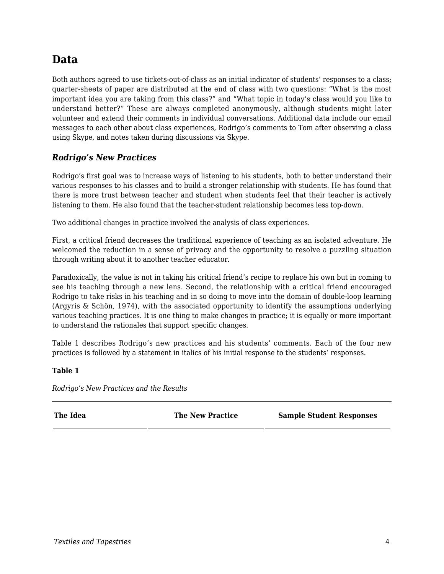# **Data**

Both authors agreed to use tickets-out-of-class as an initial indicator of students' responses to a class; quarter-sheets of paper are distributed at the end of class with two questions: "What is the most important idea you are taking from this class?" and "What topic in today's class would you like to understand better?" These are always completed anonymously, although students might later volunteer and extend their comments in individual conversations. Additional data include our email messages to each other about class experiences, Rodrigo's comments to Tom after observing a class using Skype, and notes taken during discussions via Skype.

#### *Rodrigo's New Practices*

Rodrigo's first goal was to increase ways of listening to his students, both to better understand their various responses to his classes and to build a stronger relationship with students. He has found that there is more trust between teacher and student when students feel that their teacher is actively listening to them. He also found that the teacher-student relationship becomes less top-down.

Two additional changes in practice involved the analysis of class experiences.

First, a critical friend decreases the traditional experience of teaching as an isolated adventure. He welcomed the reduction in a sense of privacy and the opportunity to resolve a puzzling situation through writing about it to another teacher educator.

Paradoxically, the value is not in taking his critical friend's recipe to replace his own but in coming to see his teaching through a new lens. Second, the relationship with a critical friend encouraged Rodrigo to take risks in his teaching and in so doing to move into the domain of double-loop learning (Argyris & Schön, 1974), with the associated opportunity to identify the assumptions underlying various teaching practices. It is one thing to make changes in practice; it is equally or more important to understand the rationales that support specific changes.

Table 1 describes Rodrigo's new practices and his students' comments. Each of the four new practices is followed by a statement in italics of his initial response to the students' responses.

#### **Table 1**

*Rodrigo's New Practices and the Results*

| The Idea | <b>The New Practice</b> | <b>Sample Student Responses</b> |
|----------|-------------------------|---------------------------------|
|          |                         |                                 |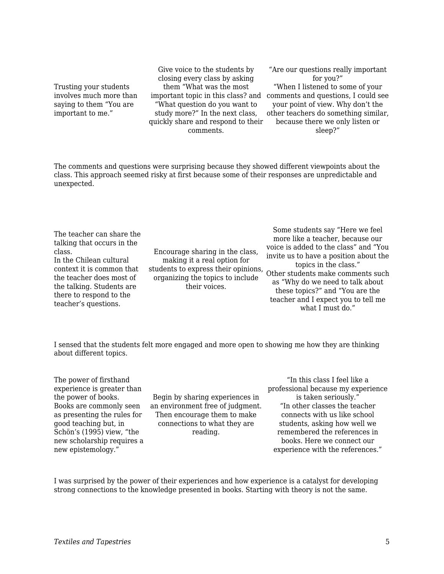Trusting your students involves much more than saying to them "You are important to me."

Give voice to the students by closing every class by asking them "What was the most "What question do you want to study more?" In the next class, quickly share and respond to their comments.

important topic in this class? and comments and questions, I could see "Are our questions really important for you?" "When I listened to some of your your point of view. Why don't the other teachers do something similar, because there we only listen or sleep?"

The comments and questions were surprising because they showed different viewpoints about the class. This approach seemed risky at first because some of their responses are unpredictable and unexpected.

The teacher can share the talking that occurs in the class. In the Chilean cultural context it is common that the teacher does most of the talking. Students are there to respond to the teacher's questions.

Encourage sharing in the class, making it a real option for students to express their opinions, other students making as more topics in the class." organizing the topics to include their voices.

Some students say "Here we feel more like a teacher, because our voice is added to the class" and "You invite us to have a position about the Other students make comments such as "Why do we need to talk about these topics?" and "You are the teacher and I expect you to tell me what I must do."

I sensed that the students felt more engaged and more open to showing me how they are thinking about different topics.

The power of firsthand experience is greater than the power of books. Books are commonly seen as presenting the rules for good teaching but, in Schön's (1995) view, "the new scholarship requires a new epistemology."

Begin by sharing experiences in an environment free of judgment. Then encourage them to make connections to what they are reading.

"In this class I feel like a professional because my experience is taken seriously." "In other classes the teacher connects with us like school students, asking how well we remembered the references in books. Here we connect our experience with the references."

I was surprised by the power of their experiences and how experience is a catalyst for developing strong connections to the knowledge presented in books. Starting with theory is not the same.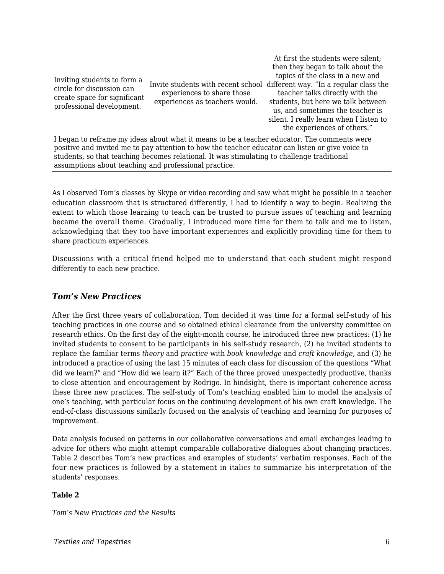Inviting students to form a circle for discussion can create space for significant professional development.

experiences to share those experiences as teachers would.

Invite students with recent school different way. "In a regular class the At first the students were silent; then they began to talk about the topics of the class in a new and teacher talks directly with the students, but here we talk between us, and sometimes the teacher is silent. I really learn when I listen to the experiences of others."

I began to reframe my ideas about what it means to be a teacher educator. The comments were positive and invited me to pay attention to how the teacher educator can listen or give voice to students, so that teaching becomes relational. It was stimulating to challenge traditional assumptions about teaching and professional practice.

As I observed Tom's classes by Skype or video recording and saw what might be possible in a teacher education classroom that is structured differently, I had to identify a way to begin. Realizing the extent to which those learning to teach can be trusted to pursue issues of teaching and learning became the overall theme. Gradually, I introduced more time for them to talk and me to listen, acknowledging that they too have important experiences and explicitly providing time for them to share practicum experiences.

Discussions with a critical friend helped me to understand that each student might respond differently to each new practice.

#### *Tom's New Practices*

After the first three years of collaboration, Tom decided it was time for a formal self-study of his teaching practices in one course and so obtained ethical clearance from the university committee on research ethics. On the first day of the eight-month course, he introduced three new practices: (1) he invited students to consent to be participants in his self-study research, (2) he invited students to replace the familiar terms *theory* and *practice* with *book knowledge* and *craft knowledge*, and (3) he introduced a practice of using the last 15 minutes of each class for discussion of the questions "What did we learn?" and "How did we learn it?" Each of the three proved unexpectedly productive, thanks to close attention and encouragement by Rodrigo. In hindsight, there is important coherence across these three new practices. The self-study of Tom's teaching enabled him to model the analysis of one's teaching, with particular focus on the continuing development of his own craft knowledge. The end-of-class discussions similarly focused on the analysis of teaching and learning for purposes of improvement.

Data analysis focused on patterns in our collaborative conversations and email exchanges leading to advice for others who might attempt comparable collaborative dialogues about changing practices. Table 2 describes Tom's new practices and examples of students' verbatim responses. Each of the four new practices is followed by a statement in italics to summarize his interpretation of the students' responses.

#### **Table 2**

*Tom's New Practices and the Results*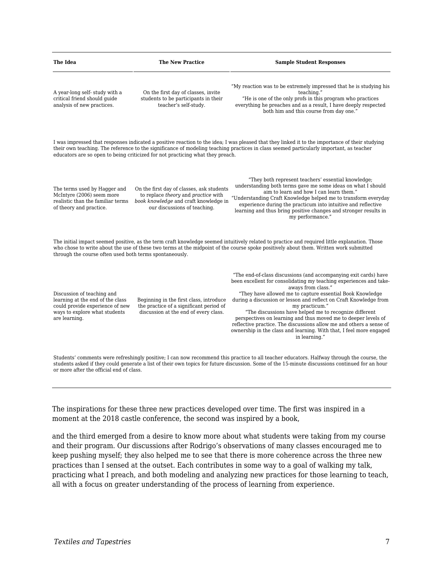| The Idea                                                                                                                                                                                                                                                                                                                                                                     | <b>The New Practice</b>                                                                                                                                   | <b>Sample Student Responses</b>                                                                                                                                                                                                                                                                                                                                                                                                                                                                                                                                                                             |  |
|------------------------------------------------------------------------------------------------------------------------------------------------------------------------------------------------------------------------------------------------------------------------------------------------------------------------------------------------------------------------------|-----------------------------------------------------------------------------------------------------------------------------------------------------------|-------------------------------------------------------------------------------------------------------------------------------------------------------------------------------------------------------------------------------------------------------------------------------------------------------------------------------------------------------------------------------------------------------------------------------------------------------------------------------------------------------------------------------------------------------------------------------------------------------------|--|
| A year-long self- study with a<br>critical friend should guide<br>analysis of new practices.                                                                                                                                                                                                                                                                                 | On the first day of classes, invite<br>students to be participants in their<br>teacher's self-study.                                                      | "My reaction was to be extremely impressed that he is studying his<br>teaching."<br>"He is one of the only profs in this program who practices<br>everything he preaches and as a result. I have deeply respected<br>both him and this course from day one."                                                                                                                                                                                                                                                                                                                                                |  |
| I was impressed that responses indicated a positive reaction to the idea; I was pleased that they linked it to the importance of their studying<br>their own teaching. The reference to the significance of modeling teaching practices in class seemed particularly important, as teacher<br>educators are so open to being criticized for not practicing what they preach. |                                                                                                                                                           |                                                                                                                                                                                                                                                                                                                                                                                                                                                                                                                                                                                                             |  |
| The terms used by Hagger and<br>McIntyre (2006) seem more<br>realistic than the familiar terms<br>of theory and practice.                                                                                                                                                                                                                                                    | On the first day of classes, ask students<br>to replace theory and practice with<br>book knowledge and craft knowledge in<br>our discussions of teaching. | "They both represent teachers' essential knowledge;<br>understanding both terms gave me some ideas on what I should<br>aim to learn and how I can learn them."<br>"Understanding Craft Knowledge helped me to transform everyday<br>experience during the practicum into intuitive and reflective<br>learning and thus bring positive changes and stronger results in<br>my performance."                                                                                                                                                                                                                   |  |
| The initial impact seemed positive, as the term craft knowledge seemed intuitively related to practice and required little explanation. Those<br>who chose to write about the use of these two terms at the midpoint of the course spoke positively about them. Written work submitted<br>through the course often used both terms spontaneously.                            |                                                                                                                                                           |                                                                                                                                                                                                                                                                                                                                                                                                                                                                                                                                                                                                             |  |
| Discussion of teaching and<br>learning at the end of the class<br>could provide experience of new<br>ways to explore what students<br>are learning.                                                                                                                                                                                                                          | Beginning in the first class, introduce<br>the practice of a significant period of<br>discussion at the end of every class.                               | "The end-of-class discussions (and accompanying exit cards) have<br>been excellent for consolidating my teaching experiences and take-<br>aways from class."<br>"They have allowed me to capture essential Book Knowledge<br>during a discussion or lesson and reflect on Craft Knowledge from<br>my practicum."<br>"The discussions have helped me to recognize different<br>perspectives on learning and thus moved me to deeper levels of<br>reflective practice. The discussions allow me and others a sense of<br>ownership in the class and learning. With that, I feel more engaged<br>in learning." |  |
| Students' comments were refreshingly positive; I can now recommend this practice to all teacher educators. Halfway through the course, the<br>students asked if they could generate a list of their own topics for future discussion. Some of the 15-minute discussions continued for an hour<br>or more after the official end of class                                     |                                                                                                                                                           |                                                                                                                                                                                                                                                                                                                                                                                                                                                                                                                                                                                                             |  |

The inspirations for these three new practices developed over time. The first was inspired in a moment at the 2018 castle conference, the second was inspired by a book,

and the third emerged from a desire to know more about what students were taking from my course and their program. Our discussions after Rodrigo's observations of many classes encouraged me to keep pushing myself; they also helped me to see that there is more coherence across the three new practices than I sensed at the outset. Each contributes in some way to a goal of walking my talk, practicing what I preach, and both modeling and analyzing new practices for those learning to teach, all with a focus on greater understanding of the process of learning from experience.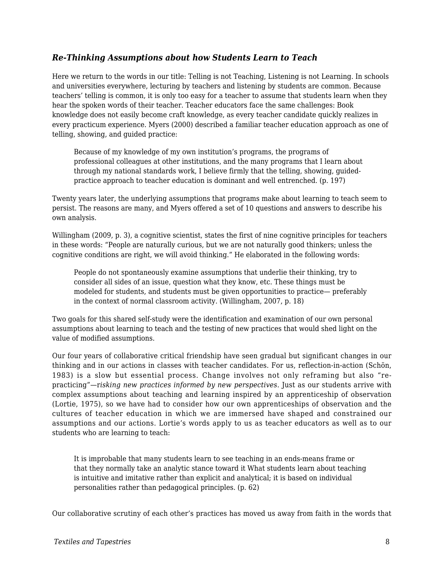#### *Re-Thinking Assumptions about how Students Learn to Teach*

Here we return to the words in our title: Telling is not Teaching, Listening is not Learning. In schools and universities everywhere, lecturing by teachers and listening by students are common. Because teachers' telling is common, it is only too easy for a teacher to assume that students learn when they hear the spoken words of their teacher. Teacher educators face the same challenges: Book knowledge does not easily become craft knowledge, as every teacher candidate quickly realizes in every practicum experience. Myers (2000) described a familiar teacher education approach as one of telling, showing, and guided practice:

Because of my knowledge of my own institution's programs, the programs of professional colleagues at other institutions, and the many programs that I learn about through my national standards work, I believe firmly that the telling, showing, guidedpractice approach to teacher education is dominant and well entrenched. (p. 197)

Twenty years later, the underlying assumptions that programs make about learning to teach seem to persist. The reasons are many, and Myers offered a set of 10 questions and answers to describe his own analysis.

Willingham (2009, p. 3), a cognitive scientist, states the first of nine cognitive principles for teachers in these words: "People are naturally curious, but we are not naturally good thinkers; unless the cognitive conditions are right, we will avoid thinking." He elaborated in the following words:

People do not spontaneously examine assumptions that underlie their thinking, try to consider all sides of an issue, question what they know, etc. These things must be modeled for students, and students must be given opportunities to practice— preferably in the context of normal classroom activity. (Willingham, 2007, p. 18)

Two goals for this shared self-study were the identification and examination of our own personal assumptions about learning to teach and the testing of new practices that would shed light on the value of modified assumptions.

Our four years of collaborative critical friendship have seen gradual but significant changes in our thinking and in our actions in classes with teacher candidates. For us, reflection-in-action (Schön, 1983) is a slow but essential process. Change involves not only reframing but also "repracticing"*—*r*isking new practices informed by new perspectives*. Just as our students arrive with complex assumptions about teaching and learning inspired by an apprenticeship of observation (Lortie, 1975), so we have had to consider how our own apprenticeships of observation and the cultures of teacher education in which we are immersed have shaped and constrained our assumptions and our actions. Lortie's words apply to us as teacher educators as well as to our students who are learning to teach:

It is improbable that many students learn to see teaching in an ends-means frame or that they normally take an analytic stance toward it What students learn about teaching is intuitive and imitative rather than explicit and analytical; it is based on individual personalities rather than pedagogical principles. (p. 62)

Our collaborative scrutiny of each other's practices has moved us away from faith in the words that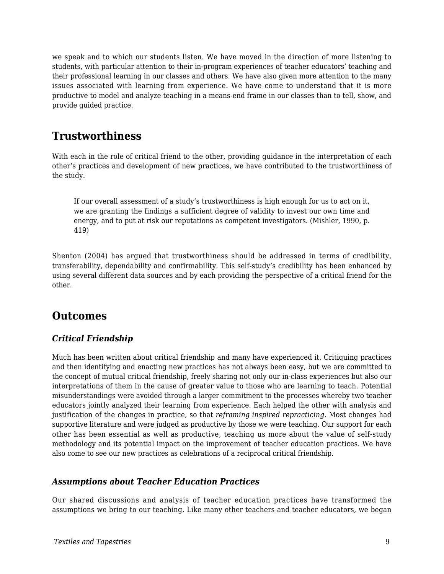we speak and to which our students listen. We have moved in the direction of more listening to students, with particular attention to their in-program experiences of teacher educators' teaching and their professional learning in our classes and others. We have also given more attention to the many issues associated with learning from experience. We have come to understand that it is more productive to model and analyze teaching in a means-end frame in our classes than to tell, show, and provide guided practice.

## **Trustworthiness**

With each in the role of critical friend to the other, providing guidance in the interpretation of each other's practices and development of new practices, we have contributed to the trustworthiness of the study.

If our overall assessment of a study's trustworthiness is high enough for us to act on it, we are granting the findings a sufficient degree of validity to invest our own time and energy, and to put at risk our reputations as competent investigators. (Mishler, 1990, p. 419)

Shenton (2004) has argued that trustworthiness should be addressed in terms of credibility, transferability, dependability and confirmability. This self-study's credibility has been enhanced by using several different data sources and by each providing the perspective of a critical friend for the other.

### **Outcomes**

### *Critical Friendship*

Much has been written about critical friendship and many have experienced it. Critiquing practices and then identifying and enacting new practices has not always been easy, but we are committed to the concept of mutual critical friendship, freely sharing not only our in-class experiences but also our interpretations of them in the cause of greater value to those who are learning to teach. Potential misunderstandings were avoided through a larger commitment to the processes whereby two teacher educators jointly analyzed their learning from experience. Each helped the other with analysis and justification of the changes in practice, so that *reframing inspired repracticing*. Most changes had supportive literature and were judged as productive by those we were teaching. Our support for each other has been essential as well as productive, teaching us more about the value of self-study methodology and its potential impact on the improvement of teacher education practices. We have also come to see our new practices as celebrations of a reciprocal critical friendship.

#### *Assumptions about Teacher Education Practices*

Our shared discussions and analysis of teacher education practices have transformed the assumptions we bring to our teaching. Like many other teachers and teacher educators, we began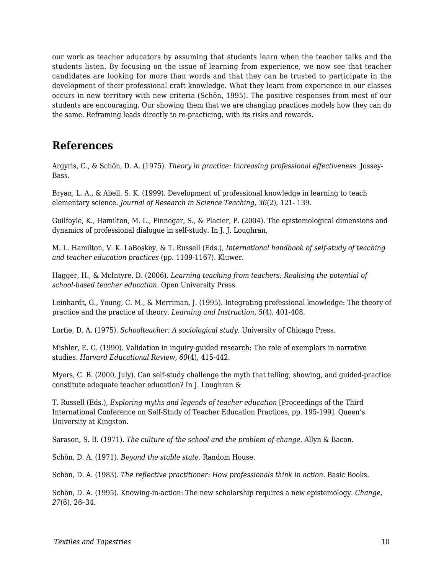our work as teacher educators by assuming that students learn when the teacher talks and the students listen. By focusing on the issue of learning from experience, we now see that teacher candidates are looking for more than words and that they can be trusted to participate in the development of their professional craft knowledge. What they learn from experience in our classes occurs in new territory with new criteria (Schön, 1995). The positive responses from most of our students are encouraging. Our showing them that we are changing practices models how they can do the same. Reframing leads directly to re-practicing, with its risks and rewards.

### **References**

Argyris, C., & Schön, D. A. (1975). *Theory in practice: Increasing professional effectiveness.* Jossey-Bass.

Bryan, L. A., & Abell, S. K. (1999). Development of professional knowledge in learning to teach elementary science. *Journal of Research in Science Teaching, 36*(2), 121- 139.

Guilfoyle, K., Hamilton, M. L., Pinnegar, S., & Placier, P. (2004). The epistemological dimensions and dynamics of professional dialogue in self-study. In J. J. Loughran,

M. L. Hamilton, V. K. LaBoskey, & T. Russell (Eds.), *International handbook of self-study of teaching and teacher education practices* (pp. 1109-1167). Kluwer.

Hagger, H., & McIntyre, D. (2006). *Learning teaching from teachers: Realising the potential of school-based teacher education.* Open University Press.

Leinhardt, G., Young, C. M., & Merriman, J. (1995). Integrating professional knowledge: The theory of practice and the practice of theory. *Learning and Instruction, 5*(4), 401-408.

Lortie, D. A. (1975). *Schoolteacher: A sociological study.* University of Chicago Press.

Mishler, E. G. (1990). Validation in inquiry-guided research: The role of exemplars in narrative studies. *Harvard Educational Review, 60*(4), 415-442.

Myers, C. B. (2000, July). Can self-study challenge the myth that telling, showing, and guided-practice constitute adequate teacher education? In J. Loughran &

T. Russell (Eds.), *Exploring myths and legends of teacher education* [Proceedings of the Third International Conference on Self-Study of Teacher Education Practices, pp. 195-199]. Queen's University at Kingston.

Sarason, S. B. (1971). *The culture of the school and the problem of change.* Allyn & Bacon.

Schön, D. A. (1971). *Beyond the stable state.* Random House.

Schön, D. A. (1983). *The reflective practitioner: How professionals think in action.* Basic Books.

Schön, D. A. (1995). Knowing-in-action: The new scholarship requires a new epistemology. *Change, 27*(6), 26–34.